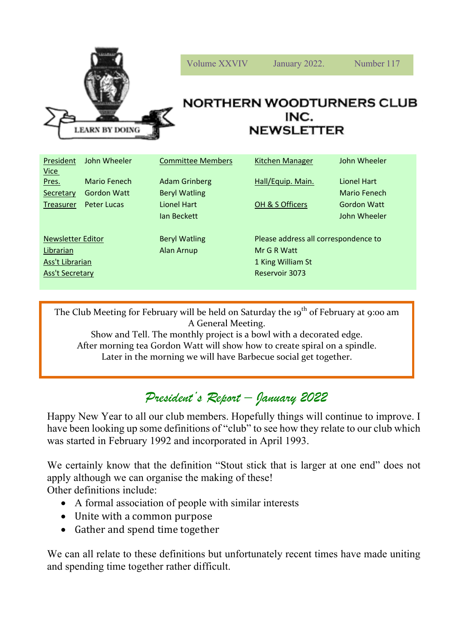

| President<br><u>Vice</u> | John Wheeler | <b>Committee Members</b> | Kitchen Manager                      | John Wheeler |
|--------------------------|--------------|--------------------------|--------------------------------------|--------------|
| Pres.                    | Mario Fenech | <b>Adam Grinberg</b>     | Hall/Equip. Main.                    | Lionel Hart  |
| Secretary                | Gordon Watt  | <b>Beryl Watling</b>     |                                      | Mario Fenech |
| Treasurer                | Peter Lucas  | Lionel Hart              | OH & S Officers                      | Gordon Watt  |
|                          |              | lan Beckett              |                                      | John Wheeler |
|                          |              |                          |                                      |              |
| <b>Newsletter Editor</b> |              | <b>Beryl Watling</b>     | Please address all correspondence to |              |
| Librarian                |              | Alan Arnup               | Mr G R Watt                          |              |
| Ass't Librarian          |              |                          | 1 King William St                    |              |
| Ass't Secretary          |              |                          | Reservoir 3073                       |              |
|                          |              |                          |                                      |              |
|                          |              |                          |                                      |              |

The Club Meeting for February will be held on Saturday the 19<sup>th</sup> of February at 9:00 am A General Meeting.

Show and Tell. The monthly project is a bowl with a decorated edge. After morning tea Gordon Watt will show how to create spiral on a spindle. Later in the morning we will have Barbecue social get together.

## *President's Report – January 2022*

Happy New Year to all our club members. Hopefully things will continue to improve. I have been looking up some definitions of "club" to see how they relate to our club which was started in February 1992 and incorporated in April 1993.

We certainly know that the definition "Stout stick that is larger at one end" does not apply although we can organise the making of these! Other definitions include:

- A formal association of people with similar interests
- Unite with a common purpose
- Gather and spend time together

We can all relate to these definitions but unfortunately recent times have made uniting and spending time together rather difficult.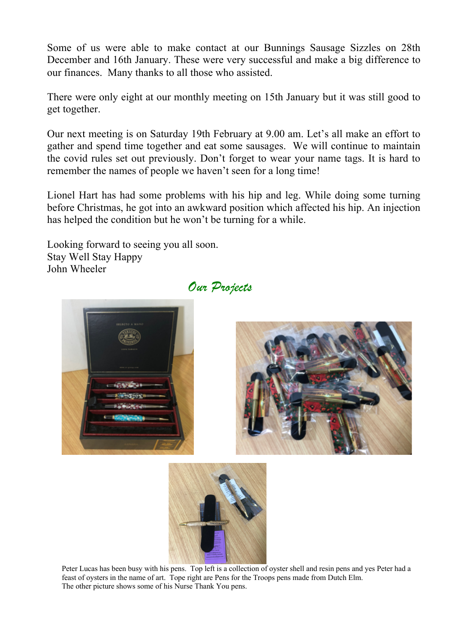Some of us were able to make contact at our Bunnings Sausage Sizzles on 28th December and 16th January. These were very successful and make a big difference to our finances. Many thanks to all those who assisted.

There were only eight at our monthly meeting on 15th January but it was still good to get together.

Our next meeting is on Saturday 19th February at 9.00 am. Let's all make an effort to gather and spend time together and eat some sausages. We will continue to maintain the covid rules set out previously. Don't forget to wear your name tags. It is hard to remember the names of people we haven't seen for a long time!

Lionel Hart has had some problems with his hip and leg. While doing some turning before Christmas, he got into an awkward position which affected his hip. An injection has helped the condition but he won't be turning for a while.

Looking forward to seeing you all soon. Stay Well Stay Happy John Wheeler



*Our Projects*





Peter Lucas has been busy with his pens. Top left is a collection of oyster shell and resin pens and yes Peter had a feast of oysters in the name of art. Tope right are Pens for the Troops pens made from Dutch Elm. The other picture shows some of his Nurse Thank You pens.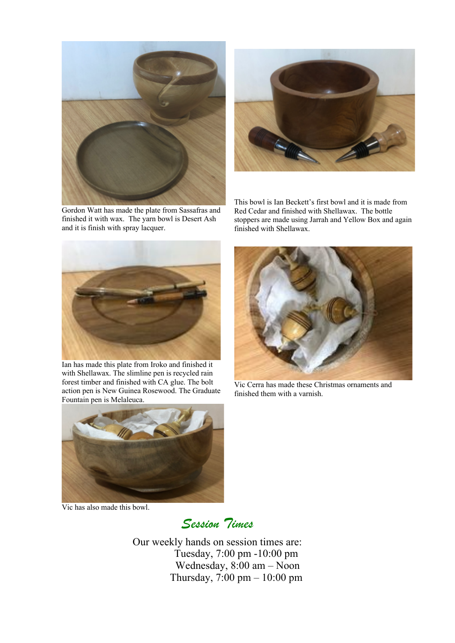

Gordon Watt has made the plate from Sassafras and finished it with wax. The yarn bowl is Desert Ash and it is finish with spray lacquer.



This bowl is Ian Beckett's first bowl and it is made from Red Cedar and finished with Shellawax. The bottle stoppers are made using Jarrah and Yellow Box and again finished with Shellawax.



Ian has made this plate from Iroko and finished it with Shellawax. The slimline pen is recycled rain forest timber and finished with CA glue. The bolt action pen is New Guinea Rosewood. The Graduate Fountain pen is Melaleuca.



Vic Cerra has made these Christmas ornaments and finished them with a varnish.



Vic has also made this bowl.

*Session Times*

Our weekly hands on session times are: Tuesday, 7:00 pm -10:00 pm Wednesday, 8:00 am – Noon Thursday, 7:00 pm – 10:00 pm